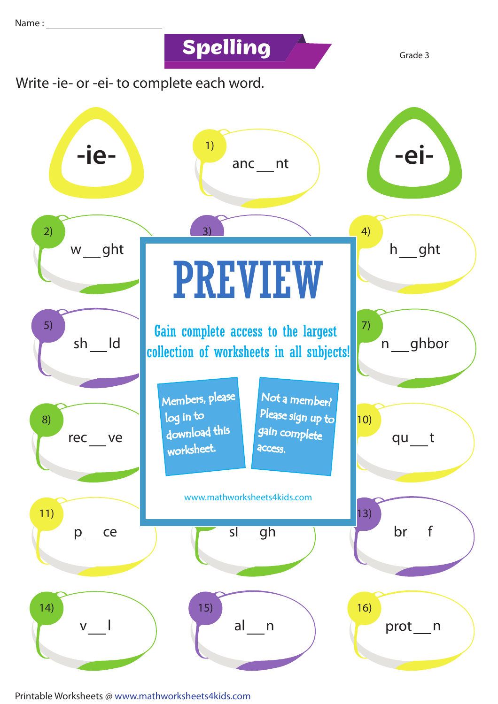**Spelling Grade 3** 



Printable Worksheets @ www.mathworksheets4kids.com